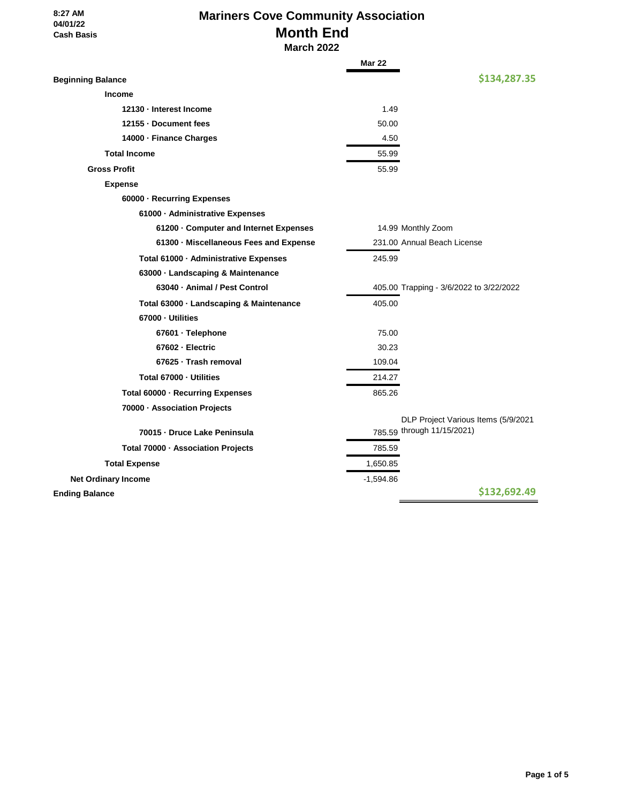#### **8:27 AM 04/01/22 Cash Basis**

# **Mariners Cove Community Association Month End March 2022**

|                                         | <b>Mar 22</b> |                                                                   |
|-----------------------------------------|---------------|-------------------------------------------------------------------|
| <b>Beginning Balance</b>                |               | \$134,287.35                                                      |
| <b>Income</b>                           |               |                                                                   |
| 12130 - Interest Income                 | 1.49          |                                                                   |
| 12155 - Document fees                   | 50.00         |                                                                   |
| 14000 · Finance Charges                 | 4.50          |                                                                   |
| <b>Total Income</b>                     | 55.99         |                                                                   |
| <b>Gross Profit</b>                     | 55.99         |                                                                   |
| <b>Expense</b>                          |               |                                                                   |
| 60000 · Recurring Expenses              |               |                                                                   |
| 61000 · Administrative Expenses         |               |                                                                   |
| 61200 Gomputer and Internet Expenses    |               | 14.99 Monthly Zoom                                                |
| 61300 · Miscellaneous Fees and Expense  |               | 231.00 Annual Beach License                                       |
| Total 61000 · Administrative Expenses   | 245.99        |                                                                   |
| 63000 · Landscaping & Maintenance       |               |                                                                   |
| 63040 - Animal / Pest Control           |               | 405.00 Trapping - 3/6/2022 to 3/22/2022                           |
| Total 63000 · Landscaping & Maintenance | 405.00        |                                                                   |
| 67000 · Utilities                       |               |                                                                   |
| 67601 · Telephone                       | 75.00         |                                                                   |
| 67602 - Electric                        | 30.23         |                                                                   |
| 67625 · Trash removal                   | 109.04        |                                                                   |
| Total 67000 - Utilities                 | 214.27        |                                                                   |
| Total 60000 · Recurring Expenses        | 865.26        |                                                                   |
| 70000 - Association Projects            |               |                                                                   |
|                                         |               | DLP Project Various Items (5/9/2021<br>785.59 through 11/15/2021) |
| 70015 - Druce Lake Peninsula            |               |                                                                   |
| Total 70000 · Association Projects      | 785.59        |                                                                   |
| <b>Total Expense</b>                    | 1,650.85      |                                                                   |
| <b>Net Ordinary Income</b>              | $-1,594.86$   |                                                                   |
| <b>Ending Balance</b>                   |               | \$132,692.49                                                      |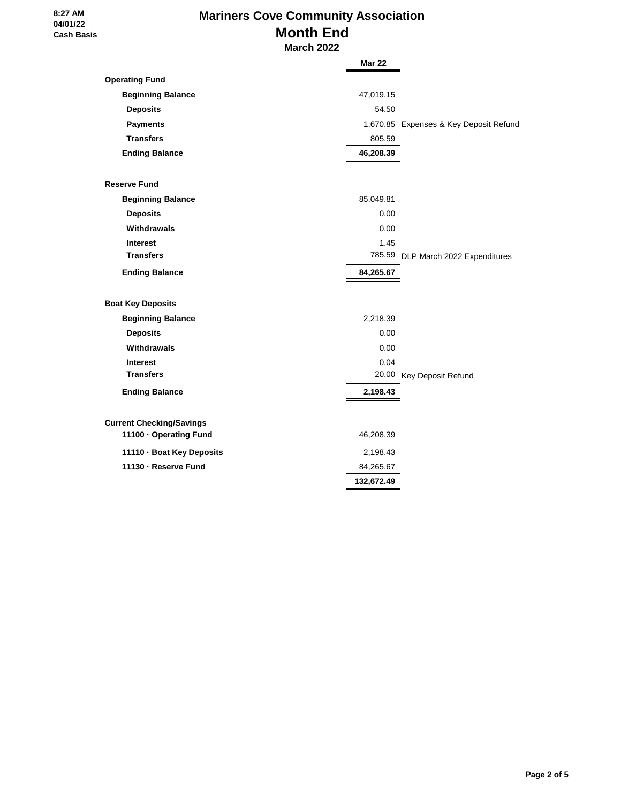#### **8:27 AM 04/01/22 Cash Basis**

# **Mariners Cove Community Association Month End March 2022**

|                                 | <b>Mar 22</b>                          |
|---------------------------------|----------------------------------------|
| <b>Operating Fund</b>           |                                        |
| <b>Beginning Balance</b>        | 47,019.15                              |
| <b>Deposits</b>                 | 54.50                                  |
| <b>Payments</b>                 | 1,670.85 Expenses & Key Deposit Refund |
| <b>Transfers</b>                | 805.59                                 |
| <b>Ending Balance</b>           | 46,208.39                              |
| <b>Reserve Fund</b>             |                                        |
| <b>Beginning Balance</b>        | 85,049.81                              |
| <b>Deposits</b>                 | 0.00                                   |
| Withdrawals                     | 0.00                                   |
| <b>Interest</b>                 | 1.45                                   |
| <b>Transfers</b>                | 785.59 DLP March 2022 Expenditures     |
| <b>Ending Balance</b>           | 84,265.67                              |
| <b>Boat Key Deposits</b>        |                                        |
| <b>Beginning Balance</b>        | 2,218.39                               |
| <b>Deposits</b>                 | 0.00                                   |
| Withdrawals                     | 0.00                                   |
| <b>Interest</b>                 | 0.04                                   |
| <b>Transfers</b>                | 20.00 Key Deposit Refund               |
| <b>Ending Balance</b>           | 2,198.43                               |
| <b>Current Checking/Savings</b> |                                        |
| 11100 · Operating Fund          | 46,208.39                              |
| 11110 · Boat Key Deposits       | 2,198.43                               |
| 11130 - Reserve Fund            | 84,265.67                              |
|                                 | 132,672.49                             |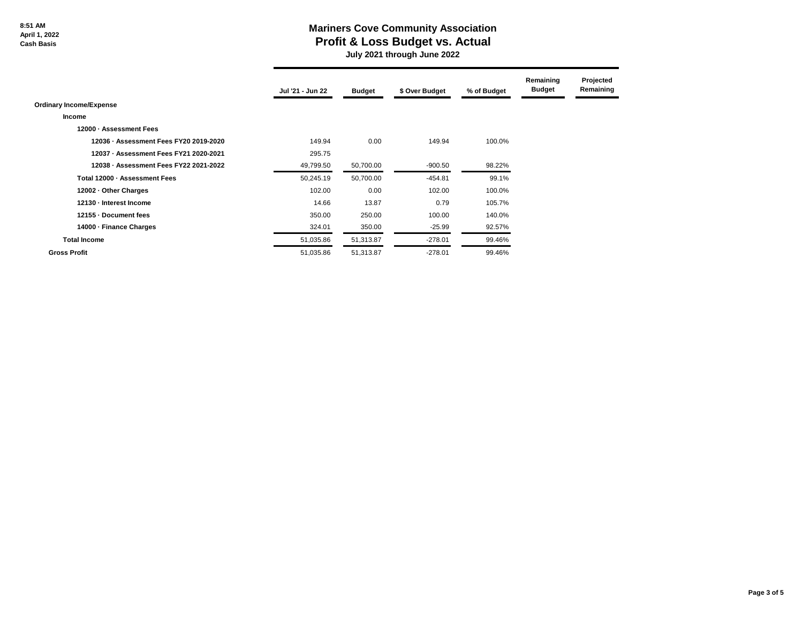**8:51 AM April 1, 2022 Cash Basis**

### **Mariners Cove Community Association Profit & Loss Budget vs. Actual**

 **July 2021 through June 2022**

|                                        | Jul '21 - Jun 22 | <b>Budget</b> | \$ Over Budget | % of Budget | Remaining<br><b>Budget</b> | Projected<br>Remaining |
|----------------------------------------|------------------|---------------|----------------|-------------|----------------------------|------------------------|
| <b>Ordinary Income/Expense</b>         |                  |               |                |             |                            |                        |
| <b>Income</b>                          |                  |               |                |             |                            |                        |
| 12000 - Assessment Fees                |                  |               |                |             |                            |                        |
| 12036 - Assessment Fees FY20 2019-2020 | 149.94           | 0.00          | 149.94         | 100.0%      |                            |                        |
| 12037 - Assessment Fees FY21 2020-2021 | 295.75           |               |                |             |                            |                        |
| 12038 - Assessment Fees FY22 2021-2022 | 49,799.50        | 50,700.00     | $-900.50$      | 98.22%      |                            |                        |
| Total 12000 - Assessment Fees          | 50,245.19        | 50,700.00     | $-454.81$      | 99.1%       |                            |                        |
| 12002 - Other Charges                  | 102.00           | 0.00          | 102.00         | 100.0%      |                            |                        |
| 12130 - Interest Income                | 14.66            | 13.87         | 0.79           | 105.7%      |                            |                        |
| 12155 Document fees                    | 350.00           | 250.00        | 100.00         | 140.0%      |                            |                        |
| 14000 - Finance Charges                | 324.01           | 350.00        | $-25.99$       | 92.57%      |                            |                        |
| <b>Total Income</b>                    | 51,035.86        | 51,313.87     | $-278.01$      | 99.46%      |                            |                        |
| <b>Gross Profit</b>                    | 51,035.86        | 51,313.87     | $-278.01$      | 99.46%      |                            |                        |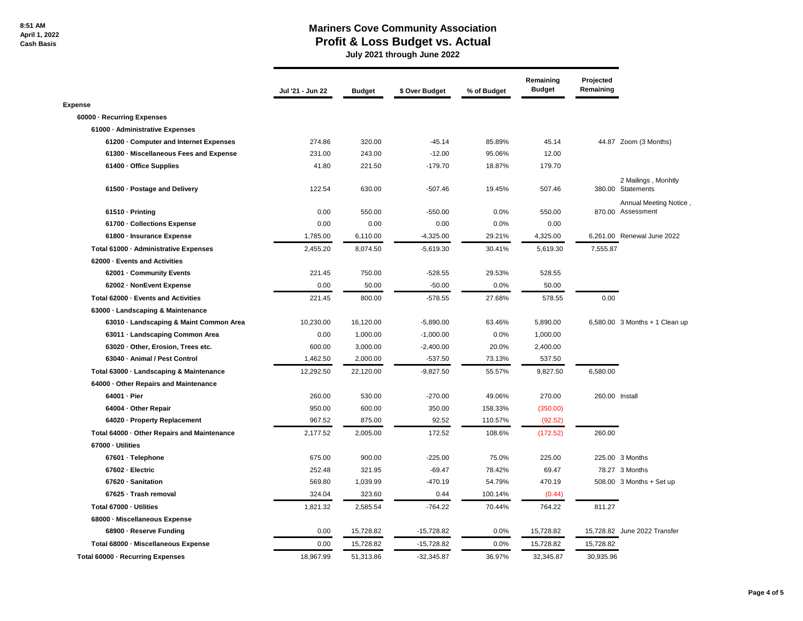#### **Mariners Cove Community Association Profit & Loss Budget vs. Actual**

 **July 2021 through June 2022**

|                                             | Jul '21 - Jun 22 | <b>Budget</b> | \$ Over Budget | % of Budget | Remaining<br><b>Budget</b> | Projected<br>Remaining |                                             |
|---------------------------------------------|------------------|---------------|----------------|-------------|----------------------------|------------------------|---------------------------------------------|
| <b>Expense</b>                              |                  |               |                |             |                            |                        |                                             |
| 60000 - Recurring Expenses                  |                  |               |                |             |                            |                        |                                             |
| 61000 - Administrative Expenses             |                  |               |                |             |                            |                        |                                             |
| 61200 - Computer and Internet Expenses      | 274.86           | 320.00        | $-45.14$       | 85.89%      | 45.14                      |                        | 44.87 Zoom (3 Months)                       |
| 61300 · Miscellaneous Fees and Expense      | 231.00           | 243.00        | $-12.00$       | 95.06%      | 12.00                      |                        |                                             |
| 61400 - Office Supplies                     | 41.80            | 221.50        | $-179.70$      | 18.87%      | 179.70                     |                        |                                             |
| 61500 - Postage and Delivery                | 122.54           | 630.00        | $-507.46$      | 19.45%      | 507.46                     |                        | 2 Mailings, Monhtly<br>380.00 Statements    |
| 61510 - Printing                            | 0.00             | 550.00        | $-550.00$      | 0.0%        | 550.00                     |                        | Annual Meeting Notice,<br>870.00 Assessment |
| 61700 - Collections Expense                 | 0.00             | 0.00          | 0.00           | 0.0%        | 0.00                       |                        |                                             |
| 61800 - Insurance Expense                   | 1,785.00         | 6,110.00      | $-4,325.00$    | 29.21%      | 4,325.00                   |                        | 6,261.00 Renewal June 2022                  |
| Total 61000 - Administrative Expenses       | 2,455.20         | 8,074.50      | $-5,619.30$    | 30.41%      | 5,619.30                   | 7,555.87               |                                             |
| 62000 - Events and Activities               |                  |               |                |             |                            |                        |                                             |
| 62001 Community Events                      | 221.45           | 750.00        | $-528.55$      | 29.53%      | 528.55                     |                        |                                             |
| 62002 - NonEvent Expense                    | 0.00             | 50.00         | $-50.00$       | 0.0%        | 50.00                      |                        |                                             |
| Total 62000 - Events and Activities         | 221.45           | 800.00        | $-578.55$      | 27.68%      | 578.55                     | 0.00                   |                                             |
| 63000 - Landscaping & Maintenance           |                  |               |                |             |                            |                        |                                             |
| 63010 - Landscaping & Maint Common Area     | 10,230.00        | 16,120.00     | $-5,890.00$    | 63.46%      | 5,890.00                   |                        | 6,580.00 3 Months + 1 Clean up              |
| 63011 - Landscaping Common Area             | 0.00             | 1,000.00      | $-1,000.00$    | 0.0%        | 1,000.00                   |                        |                                             |
| 63020 Other, Erosion, Trees etc.            | 600.00           | 3,000.00      | $-2,400.00$    | 20.0%       | 2,400.00                   |                        |                                             |
| 63040 - Animal / Pest Control               | 1,462.50         | 2,000.00      | $-537.50$      | 73.13%      | 537.50                     |                        |                                             |
| Total 63000 - Landscaping & Maintenance     | 12,292.50        | 22,120.00     | $-9,827.50$    | 55.57%      | 9,827.50                   | 6,580.00               |                                             |
| 64000 - Other Repairs and Maintenance       |                  |               |                |             |                            |                        |                                             |
| 64001 - Pier                                | 260.00           | 530.00        | $-270.00$      | 49.06%      | 270.00                     | 260.00 Install         |                                             |
| 64004 - Other Repair                        | 950.00           | 600.00        | 350.00         | 158.33%     | (350.00)                   |                        |                                             |
| 64020 - Property Replacement                | 967.52           | 875.00        | 92.52          | 110.57%     | (92.52)                    |                        |                                             |
| Total 64000 - Other Repairs and Maintenance | 2,177.52         | 2,005.00      | 172.52         | 108.6%      | (172.52)                   | 260.00                 |                                             |
| 67000 - Utilities                           |                  |               |                |             |                            |                        |                                             |
| 67601 · Telephone                           | 675.00           | 900.00        | $-225.00$      | 75.0%       | 225.00                     |                        | 225.00 3 Months                             |
| 67602 - Electric                            | 252.48           | 321.95        | $-69.47$       | 78.42%      | 69.47                      |                        | 78.27 3 Months                              |
| 67620 - Sanitation                          | 569.80           | 1,039.99      | $-470.19$      | 54.79%      | 470.19                     |                        | 508.00 3 Months + Set up                    |
| 67625 · Trash removal                       | 324.04           | 323.60        | 0.44           | 100.14%     | (0.44)                     |                        |                                             |
| Total 67000 - Utilities                     | 1,821.32         | 2,585.54      | $-764.22$      | 70.44%      | 764.22                     | 811.27                 |                                             |
| 68000 - Miscellaneous Expense               |                  |               |                |             |                            |                        |                                             |
| 68900 - Reserve Funding                     | 0.00             | 15,728.82     | $-15,728.82$   | 0.0%        | 15,728.82                  |                        | 15,728.82 June 2022 Transfer                |
| Total 68000 - Miscellaneous Expense         | 0.00             | 15,728.82     | $-15,728.82$   | 0.0%        | 15,728.82                  | 15,728.82              |                                             |
| Total 60000 - Recurring Expenses            | 18.967.99        | 51,313.86     | $-32,345.87$   | 36.97%      | 32.345.87                  | 30.935.96              |                                             |